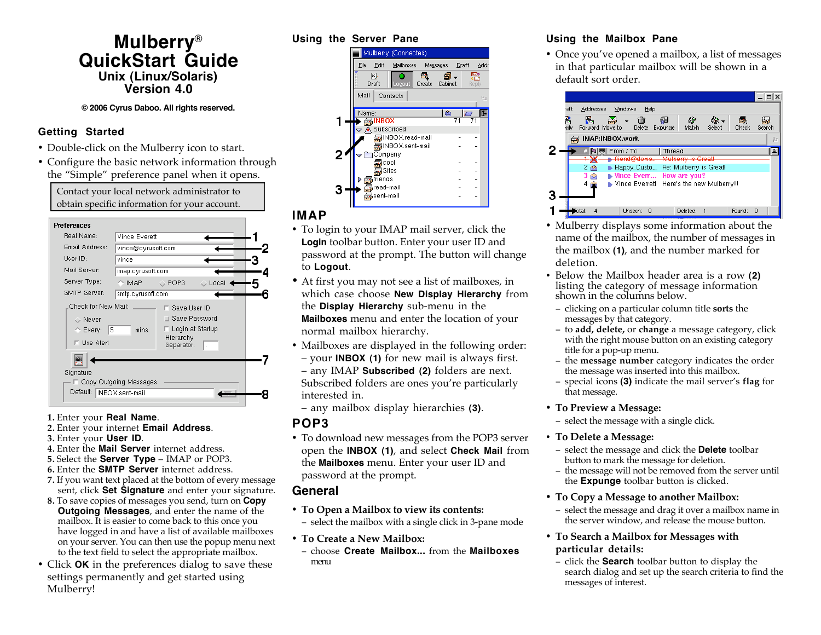# **Mulberry**® **QuickStart Guide Unix (Linux/Solaris) Version 4.0**

#### **© 2006 Cyrus Daboo. All rights reserved.**

## **Getting Started**

- Double-click on the Mulberry icon to start.
- Configure the basic network information through the "Simple" preference panel when it opens.

Contact your local network administrator to obtain specific information for your account.

| <b>Preferences</b>                      |                    |                                           |       |  |
|-----------------------------------------|--------------------|-------------------------------------------|-------|--|
| Real Name:                              | Vince Everett      |                                           |       |  |
| Email Address:                          | vince@cyrusoft.com |                                           |       |  |
| User ID:                                | vince              |                                           |       |  |
| Mail Server:                            | imap.cyrusoft.com  |                                           |       |  |
| Server Type:                            | $\triangle$ IMAP.  | $\mathop{\mathop{\mathop{\otimes}}}$ POP3 | Local |  |
| SMTP Server:                            | smtp.cyrusoft.com  |                                           |       |  |
| Check for New Mail:<br>Save User ID     |                    |                                           |       |  |
| Never                                   |                    | Save Password                             |       |  |
| 5<br>$\curvearrowright$ Every:<br>mins. |                    | Login at Startup                          |       |  |
| Use Alert                               |                    | Hierarchy<br>Separator:                   |       |  |
|                                         |                    |                                           |       |  |
| Signature                               |                    |                                           |       |  |
| Copy Outgoing Messages                  |                    |                                           |       |  |
| Default:<br>INBOX.sent-mail             |                    |                                           |       |  |
|                                         |                    |                                           |       |  |

#### **1.** Enter your **Real Name**.

- **2.** Enter your internet **Email Address**.
- **3.** Enter your **User ID**.
- **4.** Enter the **Mail Server** internet address.
- **5.** Select the **Server Type** IMAP or POP3.
- **6.** Enter the **SMTP Server** internet address.
- **7.** If you want text placed at the bottom of every message sent, click **Set Signature** and enter your signature.
- **8.** To save copies of messages you send, turn on **Copy Outgoing Messages**, and enter the name of the mailbox. It is easier to come back to this once you have logged in and have a list of available mailboxes on your server. You can then use the popup menu next to the text field to select the appropriate mailbox.
- Click **OK** in the preferences dialog to save these settings permanently and get started using Mulberry!

#### **Using the Server Pane**



# **IMAP**

- To login to your IMAP mail server, click the **Login** toolbar button. Enter your user ID and password at the prompt. The button will change to **Logout**.
- At first you may not see a list of mailboxes, in which case choose **New Display Hierarchy** from the **Display Hierarchy** sub-menu in the **Mailboxes** menu and enter the location of your normal mailbox hierarchy.
- Mailboxes are displayed in the following order: – your **INBOX (1)** for new mail is always first. – any IMAP **Subscribed (2)** folders are next. Subscribed folders are ones you're particularly interested in.
- any mailbox display hierarchies **(3)**.

## **POP3**

• To download new messages from the POP3 server open the **INBOX (1)**, and select **Check Mail** from the **Mailboxes** menu. Enter your user ID and password at the prompt.

# **General**

• **To Open a Mailbox to view its contents:**

− select the mailbox with a single click in 3-pane mode

- **To Create a New Mailbox:**
- − choose **Create Mailbox...** from the **Mailboxes** menu

## **Using the Mailbox Pane**

• Once you've opened a mailbox, a list of messages in that particular mailbox will be shown in a default sort order.



- Mulberry displays some information about the name of the mailbox, the number of messages in the mailbox **(1)**, and the number marked for deletion.
- Below the Mailbox header area is a row **(2)** listing the category of message information shown in the columns below.
- − clicking on a particular column title **sorts** the messages by that category.
- − to **add, delete,** or **change** a message category, click with the right mouse button on an existing category title for a pop-up menu.
- − the **message number** category indicates the order the message was inserted into this mailbox.
- − special icons **(3)** indicate the mail server's **flag** for that message.

#### • **To Preview a Message:**

− select the message with a single click.

#### • **To Delete a Message:**

- − select the message and click the **Delete** toolbar button to mark the message for deletion.
- − the message will not be removed from the server until the **Expunge** toolbar button is clicked.

#### • **To Copy a Message to another Mailbox:**

- − select the message and drag it over a mailbox name in the server window, and release the mouse button.
- **To Search a Mailbox for Messages with particular details:**
	- − click the **Search** toolbar button to display the search dialog and set up the search criteria to find the messages of interest.